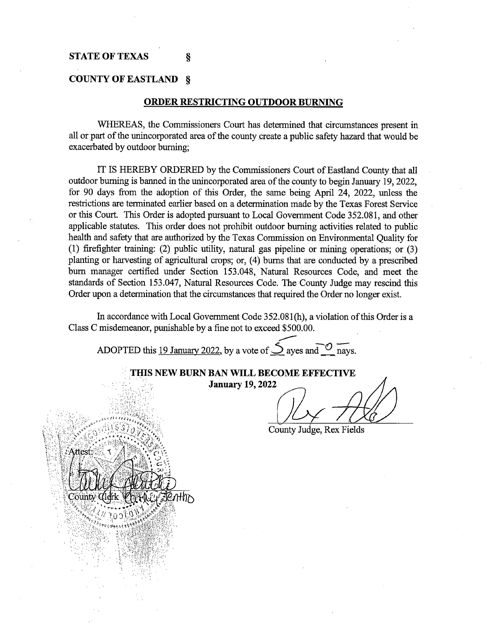#### **COUNTY OF EASTLAND** §

#### **ORDER RESTRICTING OUTDOOR BURNING**

WHEREAS, the Commissioners Court has determined that circumstances present in all or part of the unincorporated area of the county create a public safety hazard that would be exacerbated by outdoor burning;

IT IS HEREBY ORDERED by the Commissioners Court of Eastland County that all outdoor burning is banned in the unincorporated area of the county to begin January 19, 2022, for 90 days from the adoption of this Order, the same being April 24, 2022, unless the restrictions are terminated earlier based on a determination made by the Texas Forest Service or this Court. This Order is adopted pursuant to Local Government Code 352.081, and other applicable statutes. This order does not prohibit outdoor burning activities related to public health and safety that are authorized by the Texas Commission on Environmental Quality for (1) firefighter training: (2) public utility, natural gas pipeline or mining operations; or (3) planting or harvesting of agricultural crops; or, (4) burns that are conducted by a prescribed burn manager certified under Section 153.048, Natural Resources Code, and meet the standards of Section 153.047, Natural Resources Code. The County Judge may rescind this Order upon a determination that the circumstances that required the Order no longer exist.

In accordance with Local Government Code 352.081(h), a violation of this Order is a Class C misdemeanor, punishable by a fine not to exceed \$500.00.

\_\_\_.

ADOPTED this 19 January 2022, by a vote of  $\sum$  ayes and  $\sum$  nays.

'>.: ··.;.,:;:~:::~-.;:~,;~·. . ' ~- ;.. :,'\_~~<:: . · **THIS NEW BURN BAN WILL BECOME EFFECTIVE**  , :;; January 19, 2022 Q2y *-l2fl2*  County Judge, Rex Fields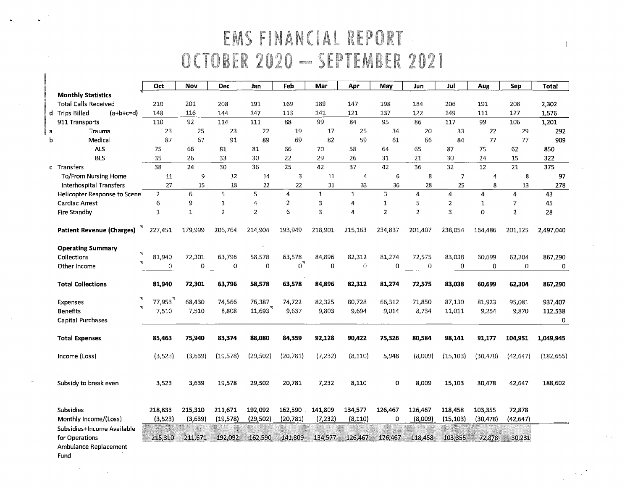## EMS FINANCIAL REP EMBER 2021

 $\overline{1}$ 

|   |                                  | Oct                 | Nov          | <b>Dec</b>     | Jan            | Feb              | Mar          | Apr          | May            | Jun            | Jul              | Aug              | Sep            | <b>Total</b> |
|---|----------------------------------|---------------------|--------------|----------------|----------------|------------------|--------------|--------------|----------------|----------------|------------------|------------------|----------------|--------------|
|   | <b>Monthly Statistics</b>        |                     |              |                |                |                  |              |              |                |                |                  |                  |                |              |
|   | <b>Total Calls Received</b>      | 210                 | 201          | 208            | 191            | 169              | 189          | 147          | 198            | 184            | 206              | 191              | 208            | 2,302        |
|   | d Trips Billed<br>$(a+b+c=d)$    | 148                 | 116          | 144            | 147            | 113              | 141          | 121          | 137            | 122            | 149              | 111              | 127            | 1,576        |
|   | 911 Transports                   | 110                 | 92           | 114            | 111            | 88               | 99           | 84           | 95             | 86             | 117              | 99               | 106            | 1,201        |
| a | Trauma                           | 23                  | 25           | 23             | 22             | 19               | 17           | 25           | 34             | 20             | 33               | 22               | 29             | 292          |
| b | Medical                          | 87                  | 67           | 91             | 89             | 69               | 82           | 59           | 61             | 66             | 84               | 77               | 77             | 909          |
|   | <b>ALS</b>                       | 75                  | 66           | 81             | 81             | 66               | 70           | 58           | 64             | 65             | 87               | 75               | 62             | 850          |
|   | <b>BLS</b>                       | 35                  | 26           | 33             | 30             | 22               | 29           | 26           | 31             | 21             | 30               | 24               | 15             | 322          |
|   | c Transfers                      | 38                  | 24           | 30             | 36             | 25               | 42           | 37           | 42             | 36             | 32               | 12               | 21             | 375          |
|   | To/From Nursing Home             | 11                  | 9            | 12             | 14             | 3                | 11           | 4            | 6              | 8              | 7                | $\boldsymbol{4}$ | 8              | 97           |
|   | <b>Interhospital Transfers</b>   | 27                  | 15           | 18             | 22             | 22               | 31           | 33           | 36             | 28             | 25               | 8                | 13             | 278          |
|   | Helicopter Response to Scene     | $\overline{2}$      | 6            | 5              | 5              | 4                | $\mathbf{1}$ | $\mathbf{1}$ | $\overline{3}$ | 4              | 4                | 4                | 4              | 43           |
|   | <b>Cardiac Arrest</b>            | 6                   | õ            | $\mathbf 1$    | 4              | $\overline{c}$   | 3            | 4            | $\mathbf{1}$   | 5              | $\boldsymbol{z}$ | $\mathbf{1}$     | $\overline{7}$ | 45           |
|   | Fire Standby                     | 1                   | $\mathbf{1}$ | $\overline{2}$ | $\overline{2}$ | 6                | 3            | 4            | $\overline{2}$ | $\overline{2}$ | 3                | $\mathbf 0$      | $\overline{2}$ | 28           |
|   | <b>Patient Revenue (Charges)</b> | 227,451             | 179.999      | 206.764        | 214,904        | 193.949          | 218,901      | 215,163      | 234,837        | 201,407        | 238,054          | 164,486          | 201,125        | 2,497,040    |
|   | <b>Operating Summary</b><br>٦    |                     |              |                |                |                  |              |              |                |                |                  |                  |                |              |
|   | Collections                      | 81.940              | 72,301       | 63.796         | 58,578         | 63,578           | 84.896       | 82,312       | 81,274         | 72,575         | 83,038           | 60,699           | 62,304         | 867,290      |
|   | Other Income                     | $\Omega$            | $\Omega$     | $\Omega$       | $\Omega$       | $\mathfrak{o}^*$ | $\mathbf 0$  | $\Omega$     | $\Omega$       | 0              | 0                | 0                | $\circ$        | 0            |
|   | <b>Total Collections</b>         | 81,940              | 72,301       | 63,796         | 58,578         | 63,578           | 84,896       | 82,312       | 81,274         | 72,575         | 83,038           | 60,699           | 62,304         | 867,290      |
|   |                                  |                     |              |                |                |                  |              |              |                |                |                  |                  |                |              |
|   | Expenses                         | 77,953 <sup>"</sup> | 68,430       | 74,566         | 76,387         | 74,722           | 82,325       | 80,728       | 66,312         | 71,850         | 87,130           | 81,923           | 95,081         | 937,407      |
|   | ₩<br><b>Benefits</b>             | 7,510               | 7,510        | 8,808          | 11,693         | 9,637            | 9,803        | 9,694        | 9,014          | 8,734          | 11,011           | 9,254            | 9,870          | 112,538      |
|   | Capital Purchases                |                     |              |                |                |                  |              |              |                |                |                  |                  |                | 0            |
|   | <b>Total Expenses</b>            | 85,463              | 75,940       | 83,374         | 88,080         | 84,359           | 92,128       | 90,422       | 75,326         | 80,584         | 98,141           | 91,177           | 104,951        | 1,049,945    |
|   | Income (Loss)                    | (3,523)             | (3,639)      | (19,578)       | (29, 502)      | (20, 781)        | (7, 232)     | (8, 110)     | 5,948          | (8,009)        | (15, 103)        | (30, 478)        | (42, 647)      | (182, 655)   |
|   | Subsidy to break even            | 3,523               | 3,639        | 19,578         | 29,502         | 20,781           | 7,232        | 8,110        | 0              | 8,009          | 15,103           | 30,478           | 42,647         | 188,602      |
|   | Subsidies                        | 218,833             | 215,310      | 211,671        | 192,092        | 162,590          | 141,809      | 134,577      | 126,467        | 126,467        | 118,458          | 103,355          | 72,878         |              |
|   | Monthly Income/(Loss)            | (3, 523)            | (3,639)      | (19, 578)      | (29,502)       | (20,781)         | (7, 232)     | (8, 110)     | 0              | (8,009)        | (15, 103)        | (30, 478)        | (42,647)       |              |
|   | Subsidies+Income Available       |                     | W.           |                |                |                  |              |              |                |                |                  |                  |                |              |
|   | for Operations                   | 215,310             | 211,671      | 192.092        | 162,590        | 141,809          | 134,577      | 126.467      | 126,467        | 118,458        | 103,355          | 72,878           | 30,231         |              |
|   | Ambulance Replacement            |                     |              |                |                |                  |              |              |                |                |                  |                  |                |              |

Fund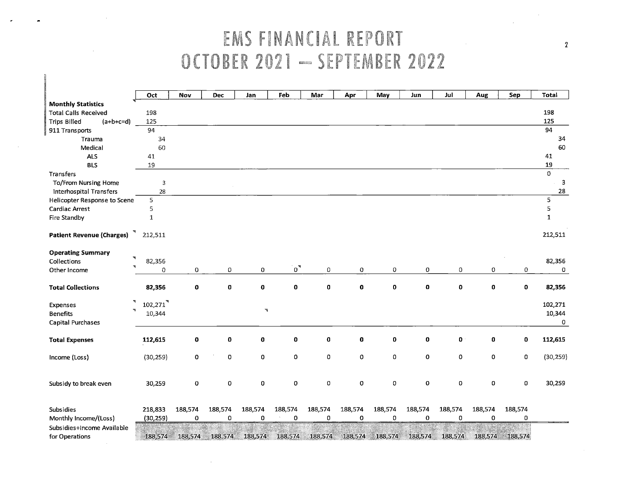# EMS FINANCIAL REPORT OCTOBER 2021 - SEPTEMBER 2022

*y.* 

 $\sim$ 

|                                    | Oct                    | Nov         | <b>Dec</b>  | Jan           | Feb         | Mar             | Apr            | May         | Jun         | Jul         | Aug         | Sep              | <b>Total</b>            |
|------------------------------------|------------------------|-------------|-------------|---------------|-------------|-----------------|----------------|-------------|-------------|-------------|-------------|------------------|-------------------------|
| <b>Monthly Statistics</b>          |                        |             |             |               |             |                 |                |             |             |             |             |                  |                         |
| <b>Total Calls Received</b>        | 198                    |             |             |               |             |                 |                |             |             |             |             |                  | 198                     |
| <b>Trips Billed</b><br>$(a+b+c=d)$ | 125                    |             |             |               |             |                 |                |             |             |             |             |                  | 125                     |
| 911 Transports                     | 94                     |             |             |               |             |                 |                |             |             |             |             |                  | 94                      |
| Trauma                             | 34                     |             |             |               |             |                 |                |             |             |             |             |                  | 34                      |
| Medical                            | 60                     |             |             |               |             |                 |                |             |             |             |             |                  | 60                      |
| <b>ALS</b>                         | 41                     |             |             |               |             |                 |                |             |             |             |             |                  | 41                      |
| <b>BLS</b>                         | 19                     |             |             |               |             |                 |                |             |             |             |             |                  | 19                      |
| Transfers                          |                        |             |             |               |             |                 |                |             |             |             |             |                  | $\mathbf{0}$            |
| To/From Nursing Home               | 3                      |             |             |               |             |                 |                |             |             |             |             |                  | $\overline{\mathbf{3}}$ |
| Interhospital Transfers            | 28                     |             |             |               |             |                 |                |             |             |             |             |                  | 28                      |
| Helicopter Response to Scene       | 5                      |             |             |               |             |                 |                |             |             |             |             |                  | 5                       |
| Cardiac Arrest                     | 5                      |             |             |               |             |                 |                |             |             |             |             |                  | 5                       |
| Fire Standby                       | $\mathbf 1$            |             |             |               |             |                 |                |             |             |             |             |                  | $\mathbf 1$             |
|                                    |                        |             |             |               |             |                 |                |             |             |             |             |                  |                         |
| <b>Patient Revenue (Charges)</b>   | 212,511                |             |             |               |             |                 |                |             |             |             |             |                  | 212,511                 |
|                                    |                        |             |             |               |             |                 |                |             |             |             |             |                  |                         |
| <b>Operating Summary</b><br>₹      |                        |             |             |               |             |                 |                |             |             |             |             |                  |                         |
| Collections                        | 82,356                 |             |             |               |             |                 |                |             |             |             |             |                  | 82,356                  |
| Other Income                       | 0                      | 0           | 0           | 0             | $\sigma^*$  | 0               | $\circ$        | 0           | 0           | $\Omega$    | 0           | 0                | 0                       |
|                                    |                        |             |             |               |             |                 |                |             |             |             |             |                  |                         |
| <b>Total Collections</b>           | 82,356                 | 0           | $\mathbf 0$ | 0             | $\mathbf 0$ | $\mathbf 0$     | $\mathbf 0$    | $\mathbf 0$ | $\mathbf 0$ | $\mathbf o$ | 0           | $\mathbf 0$      | 82,356                  |
| $\blacktriangledown$               |                        |             |             |               |             |                 |                |             |             |             |             |                  |                         |
| Expenses<br>$\mathcal{R}$          | $102,271$ <sup>3</sup> |             |             | $\mathcal{V}$ |             |                 |                |             |             |             |             |                  | 102,271                 |
| <b>Benefits</b>                    | 10,344                 |             |             |               |             |                 |                |             |             |             |             |                  | 10,344                  |
| <b>Capital Purchases</b>           |                        |             |             |               |             |                 |                |             |             |             |             |                  | 0                       |
|                                    | 112,615                | 0           | 0           | 0             | O           | $\pmb{0}$       | 0              | 0           | $\pmb{0}$   | 0           | 0           | $\mathbf 0$      | 112,615                 |
| <b>Total Expenses</b>              |                        |             |             |               |             |                 |                |             |             |             |             |                  |                         |
| Income (Loss)                      | (30, 259)              | 0           | 0           | 0             | 0           | 0               | 0              | 0           | $\mathbf 0$ | 0           | 0           | $\mathbf 0$      | (30, 259)               |
|                                    |                        |             |             |               |             |                 |                |             |             |             |             |                  |                         |
|                                    |                        |             |             |               |             |                 |                |             |             |             |             |                  |                         |
| Subsidy to break even              | 30,259                 | o           | 0           | 0             | 0           | 0               | 0              | 0           | $\mathbf 0$ | $\mathbf 0$ | 0           | $\boldsymbol{0}$ | 30,259                  |
|                                    |                        |             |             |               |             |                 |                |             |             |             |             |                  |                         |
|                                    |                        |             |             |               |             |                 |                |             |             |             |             |                  |                         |
| Subsidies                          | 218,833                | 188,574     | 188,574     | 188,574       | 188,574     | 188,574         | 188,574        | 188,574     | 188,574     | 188,574     | 188,574     | 188,574          |                         |
| Monthly Income/(Loss)              | (30, 259)              | $\mathbf 0$ | 0           | 0             | $\mathbf 0$ | 0               | $\overline{0}$ | 0           | $\mathbf 0$ | 0           | $\mathbf 0$ | 0                |                         |
| Subsidies+Income Available         |                        |             |             |               | en and      | <u>Manadoni</u> |                |             |             |             |             |                  |                         |
| for Operations                     | 188,574                | 188,574     | 188,574     | 188,574       | 188,574     | 188,574         | 188,574        | 188,574     | 188,574     | 188,574     | 188,574     | 188,574          |                         |

 $\sim 10^{-11}$